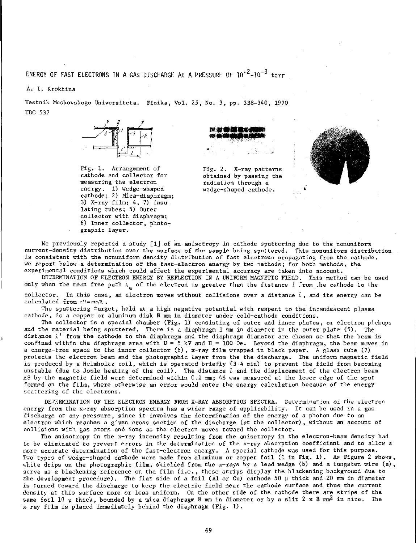## <code>ENERGY OF FAST ELECTRONS IN A GAS DISCHARGE AT A PRESSURE OF 10<sup>-2</sup>-10<sup>-3</sup> torr</code>

**A. I. Krokhina** 

**Vestnik Moskovskogo Universiteta. Fizika, Vol. 25, No. 3, pp. 338-340, 1970 UDC 537** 



**Fig. 1. Arrangement of cathode and collector for measuring the electron energy. 1) Wedge-shaped cathode; 2) Mica-diaphragm; 3) X-ray film; 4, 7) insulating tubes; 5) Outer collector with diaphragm; 6) Inner collector, photographic layer.** 



**Fig. 2. X-ray patterns obtained by passing the radiation through a wedge-shaped cathode.** ь



**We previously reported a study [l] of an anisotropy in cathode sputtering due to the nonuniform current-density distribution over the surface of the sample being sputtered. This nonuniform distribution is consistent with the nonuniform density distribution of fast electrons propagating from the cathode. We report below a determination of the fast-electron energy by two methods; for both methods, the experimental conditions which could affect the experimental accuracy are taken into account.** 

**DETERMINATION OF ELECTRON ENERGY BY REFLECTION IN A UNIFORM MAGNETIC FIELD. This method can be used**  only when the mean free path  $\lambda_{\alpha}$  of the electron is greater than the distance  $l$  from the cathode to the **collector. In this case, an electron moves without collisions over a distance I, and its energy can be calculated from** *eU=mv/2. .* 

**The sputtering target, held at a high negative potential with respect to the incandescent plasma cathode, is a copper or aluminum disk 8 mm in diameter under , cold-cathode conditions.** 

**The collector is a special chamber (Fig. 1) consisting of outer and inner plates, or electron pickups and the material being sputtered. There is a diaphragm 1 mm in diameter in the outer plate (5). The distance £' from the cathode to the diaphragm and the diaphragm diameter are chosen so that the beam is confined within the diaphragm area with U — 5 kV and H = 100 Oe. Beyond the diaphragm, the beam moves in a charge-free space to the inner collector (6) , x-ray film wrapped in black paper. A glass tube (7) protects the electron beam and the photographic layer from the the discharge. The uniform magnetic field is produced by a Helmholtz coil, which is operated briefly (3-4 min) to prevent the field from becoming unstable (due to Joule heating of the coil). The distance** *t* **and the displacement of the electron beam AS by the magnetic field were determined within 0.1 mm; AS was measured at the lower edge of the spot formed on the film, where otherwise an error would enter the energy calculation because of the energy scattering of the electrons.** 

**DETERMINATION OF THE ELECTRON ENERGY FROM X-RAY ABSORPTION SPECTRA. Determination of the electron energy from the x-ray absorption spectra has a wider range of applicability. It can be used in a gas discharge at any pressure, since it involves the determination of the energy of a photon due to an electron which reaches a given cross section of the discharge (at the collector), without an account of collisions with gas atoms and ions as the electron moves toward the collector.** 

**The anisotropy in the x-ray intensity resulting from the anisotropy in the electron-beam density had to be eliminated to prevent errors in the determination of the x-ray absorption coefficient and to allow a more accurate determination of the fast-electron energy. A special cathode was used for this purpose. Two types of wedge-shaped cathode were made ffom aluminum or copper foil (1 in Fig. 1). As Figure 2 shows white drips on the photographic film, shielded from the x-rays by a lead wedge (b) and a tungsten wire (a) serve as a blackening reference on the film (i.e., these strips display the blackening background due to the development procedure) . The flat side of a foil (A1 or Cu) cathode 50 у thick and 20 mm in diameter is turned toward the discharge to keep the electric field near the cathode surface and thus the current density at this surface more or less uniform. On the other side of the cathode there are strips of the same foil 10 у thick, bounded by a mica diaphragm 8 mm in diameter or by a slit 2x 8 mm^ in size. The x-ray film is placed immediately behind the diaphragm (Fig. 1).**